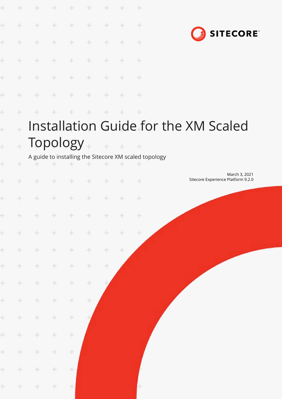| ÷. |              | ÷                     | ÷<br>$+$ | ÷<br>$\pm$                                                                                       | ÷<br>÷        | ÷<br>$+$  | ÷<br>$+$ | $\div$<br>÷                                                |                                      |                                    |  |               |                 |  |
|----|--------------|-----------------------|----------|--------------------------------------------------------------------------------------------------|---------------|-----------|----------|------------------------------------------------------------|--------------------------------------|------------------------------------|--|---------------|-----------------|--|
|    | ÷.           | ÷                     | ÷        | ÷                                                                                                | ÷             | ÷         | ÷        | ÷                                                          |                                      |                                    |  |               | <b>SITECORE</b> |  |
|    | ÷.           | ÷                     | ÷        | ÷                                                                                                | ÷             | $+$       | ÷        | ÷                                                          |                                      |                                    |  |               |                 |  |
|    | ÷.           | $\pm$                 | $\div$   | ÷                                                                                                | $\frac{1}{2}$ | ÷         | ÷        | ÷                                                          |                                      |                                    |  |               |                 |  |
|    | ÷            | ÷                     | $\div$   | ÷                                                                                                | ÷             | ÷         | ÷        | ÷                                                          |                                      |                                    |  |               |                 |  |
|    | ÷.           | ÷                     | ÷        | ÷                                                                                                | ÷             | ÷         | $+$      | $\pm$                                                      |                                      |                                    |  |               |                 |  |
|    |              |                       |          |                                                                                                  |               |           |          |                                                            | Installation Guide for the XM Scaled |                                    |  |               |                 |  |
|    | $\ddot{\pm}$ | Topology <sub>+</sub> |          |                                                                                                  |               | $+ + + +$ |          |                                                            |                                      |                                    |  |               |                 |  |
|    | ÷            | $+$                   | ÷        | ÷.                                                                                               | ÷             |           |          | A guide to installing the Sitecore XM scaled topology<br>÷ |                                      |                                    |  |               |                 |  |
|    | ÷            | ÷                     | ÷        | $\frac{1}{2} \sum_{i=1}^n \frac{1}{2} \left( \frac{1}{2} \right)^2 \left( \frac{1}{2} \right)^2$ | $+$           | ÷         | ÷        | $+$                                                        |                                      | Sitecore Experience Platform 9.2.0 |  | March 3, 2021 |                 |  |
|    | ÷            | ÷                     | $+$      | ÷                                                                                                | $+$           | $+$       | ÷        | ÷                                                          |                                      |                                    |  |               |                 |  |
|    |              | + + + + + + + +       |          |                                                                                                  |               |           |          |                                                            |                                      |                                    |  |               |                 |  |
|    | $\pm$        | ÷                     | ÷.       | $\pm$                                                                                            | ÷             | $\pm$     | ÷.       | $\pm$                                                      |                                      |                                    |  |               |                 |  |
|    | $\pm$        | ÷.                    | $\div$   | ÷                                                                                                | ÷             | $\pm$     | $\pm$    |                                                            |                                      |                                    |  |               |                 |  |
|    | $\pm$        | $\div$                | ÷        | $\div$                                                                                           | $\div$        | $\div$    |          |                                                            |                                      |                                    |  |               |                 |  |
|    | $\pm$        | $\div$                | $\pm$    | $\div$                                                                                           | $\div$        |           |          |                                                            |                                      |                                    |  |               |                 |  |
|    | $\pm$        | ÷                     | ÷        | $\div$                                                                                           | ÷             |           |          |                                                            |                                      |                                    |  |               |                 |  |
|    | $\pm$        | $\pm$                 | $\div$   | $\div$                                                                                           |               |           |          |                                                            |                                      |                                    |  |               |                 |  |
|    | $\pm$        | $\div$                | $\div$   | $\div$                                                                                           |               |           |          |                                                            |                                      |                                    |  |               |                 |  |
|    | ÷.           | ÷.                    | ÷.       | ÷                                                                                                |               |           |          |                                                            |                                      |                                    |  |               |                 |  |
|    | ÷            | ÷                     | ÷        | $\div$                                                                                           |               |           |          |                                                            |                                      |                                    |  |               |                 |  |
|    | $\pm$        | $\div$                | $\pm$    | $\pm$                                                                                            |               |           |          |                                                            |                                      |                                    |  |               |                 |  |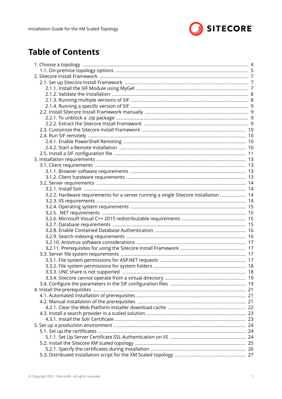

# **Table of Contents**

| 3.2.2. Hardware requirements for a server running a single Sitecore installation  14 |  |
|--------------------------------------------------------------------------------------|--|
|                                                                                      |  |
|                                                                                      |  |
|                                                                                      |  |
|                                                                                      |  |
|                                                                                      |  |
|                                                                                      |  |
|                                                                                      |  |
|                                                                                      |  |
|                                                                                      |  |
|                                                                                      |  |
|                                                                                      |  |
|                                                                                      |  |
|                                                                                      |  |
|                                                                                      |  |
|                                                                                      |  |
|                                                                                      |  |
|                                                                                      |  |
|                                                                                      |  |
|                                                                                      |  |
|                                                                                      |  |
|                                                                                      |  |
|                                                                                      |  |
|                                                                                      |  |
|                                                                                      |  |
|                                                                                      |  |
|                                                                                      |  |
|                                                                                      |  |
|                                                                                      |  |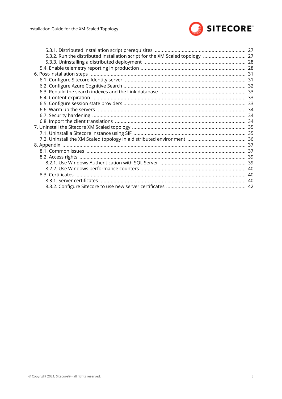

| 5.3.2. Run the distributed installation script for the XM Scaled topology  27 |  |
|-------------------------------------------------------------------------------|--|
|                                                                               |  |
|                                                                               |  |
|                                                                               |  |
|                                                                               |  |
|                                                                               |  |
|                                                                               |  |
|                                                                               |  |
|                                                                               |  |
|                                                                               |  |
|                                                                               |  |
|                                                                               |  |
|                                                                               |  |
|                                                                               |  |
|                                                                               |  |
|                                                                               |  |
|                                                                               |  |
|                                                                               |  |
|                                                                               |  |
|                                                                               |  |
|                                                                               |  |
|                                                                               |  |
|                                                                               |  |
|                                                                               |  |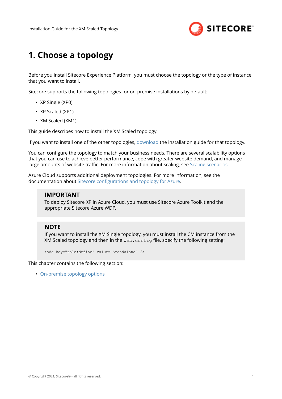

# <span id="page-3-0"></span>**1. Choose a topology**

Before you install Sitecore Experience Platform, you must choose the topology or the type of instance that you want to install.

Sitecore supports the following topologies for on-premise installations by default:

- XP Single (XP0)
- XP Scaled (XP1)
- XM Scaled (XM1)

This guide describes how to install the XM Scaled topology.

If you want to install one of the other topologies, [download](https://dev.sitecore.net/Downloads/Sitecore_Experience_Platform/92/Sitecore_Experience_Platform_92_Initial_Release.aspx) the installation guide for that topology.

You can configure the topology to match your business needs. There are several scalability options that you can use to achieve better performance, cope with greater website demand, and manage large amounts of website traffic. For more information about scaling, see [Scaling scenarios.](https://doc.sitecore.com/developers/92/platform-administration-and-architecture/en/scaling-scenarios.html)

Azure Cloud supports additional deployment topologies. For more information, see the documentation about Sitecore configurations and topology for Azure.

#### **IMPORTANT**

To deploy Sitecore XP in Azure Cloud, you must use Sitecore Azure Toolkit and the appropriate Sitecore Azure WDP.

### **NOTE**

If you want to install the XM Single topology, you must install the CM instance from the XM Scaled topology and then in the web.config file, specify the following setting:

```
<add key="role:define" value="Standalone" />
```
This chapter contains the following section:

• [On-premise topology options](#page-4-0)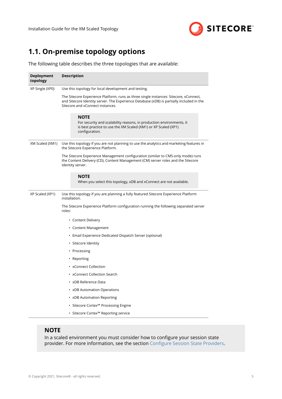

# <span id="page-4-0"></span>**1.1. On-premise topology options**

The following table describes the three topologies that are available:

| <b>Deployment</b><br>topology                                                                                                                                                            | <b>Description</b>                                                                                                                                                                                                    |  |  |  |  |  |
|------------------------------------------------------------------------------------------------------------------------------------------------------------------------------------------|-----------------------------------------------------------------------------------------------------------------------------------------------------------------------------------------------------------------------|--|--|--|--|--|
| XP Single (XP0)                                                                                                                                                                          | Use this topology for local development and testing.                                                                                                                                                                  |  |  |  |  |  |
|                                                                                                                                                                                          | The Sitecore Experience Platform, runs as three single instances: Sitecore, xConnect,<br>and Sitecore Identity server. The Experience Database (xDB) is partially included in the<br>Sitecore and xConnect instances. |  |  |  |  |  |
|                                                                                                                                                                                          | NOTE<br>For security and scalability reasons, in production environments, it<br>is best practice to use the XM Scaled (XM1) or XP Scaled (XP1)<br>configuration.                                                      |  |  |  |  |  |
| XM Scaled (XM1)                                                                                                                                                                          | Use this topology if you are not planning to use the analytics and marketing features in<br>the Sitecore Experience Platform.                                                                                         |  |  |  |  |  |
| The Sitecore Experience Management configuration (similar to CMS-only mode) runs<br>the Content Delivery (CD), Content Management (CM) server roles and the Sitecore<br>Identity server. |                                                                                                                                                                                                                       |  |  |  |  |  |
|                                                                                                                                                                                          | <b>NOTE</b><br>When you select this topology, xDB and xConnect are not available.                                                                                                                                     |  |  |  |  |  |
| XP Scaled (XP1)                                                                                                                                                                          | Use this topology if you are planning a fully featured Sitecore Experience Platform<br>installation.                                                                                                                  |  |  |  |  |  |
|                                                                                                                                                                                          | The Sitecore Experience Platform configuration running the following separated server<br>roles:                                                                                                                       |  |  |  |  |  |
|                                                                                                                                                                                          | • Content Delivery                                                                                                                                                                                                    |  |  |  |  |  |
|                                                                                                                                                                                          | • Content Management                                                                                                                                                                                                  |  |  |  |  |  |
|                                                                                                                                                                                          | • Email Experience Dedicated Dispatch Server (optional)                                                                                                                                                               |  |  |  |  |  |
|                                                                                                                                                                                          | • Sitecore Identity                                                                                                                                                                                                   |  |  |  |  |  |
|                                                                                                                                                                                          | • Processing                                                                                                                                                                                                          |  |  |  |  |  |
|                                                                                                                                                                                          | • Reporting                                                                                                                                                                                                           |  |  |  |  |  |
|                                                                                                                                                                                          | • xConnect Collection                                                                                                                                                                                                 |  |  |  |  |  |
|                                                                                                                                                                                          | • xConnect Collection Search                                                                                                                                                                                          |  |  |  |  |  |
|                                                                                                                                                                                          | • xDB Reference Data                                                                                                                                                                                                  |  |  |  |  |  |
|                                                                                                                                                                                          | • xDB Automation Operations                                                                                                                                                                                           |  |  |  |  |  |
|                                                                                                                                                                                          | • xDB Automation Reporting                                                                                                                                                                                            |  |  |  |  |  |
|                                                                                                                                                                                          | • Sitecore Cortex™ Processing Engine                                                                                                                                                                                  |  |  |  |  |  |
|                                                                                                                                                                                          | • Sitecore Cortex™ Reporting service                                                                                                                                                                                  |  |  |  |  |  |

### **NOTE**

In a scaled environment you must consider how to configure your session state provider. For more information, see the section Configure Session State Providers.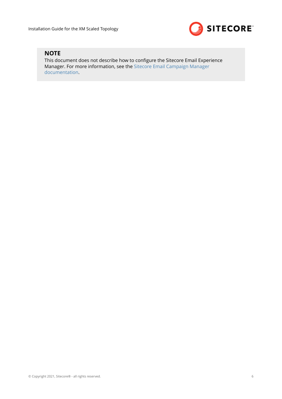

## **NOTE**

This document does not describe how to configure the Sitecore Email Experience Manager. For more information, see the [Sitecore Email Campaign Manager](https://doc.sitecore.com/developers/exm/92/email-experience-manager/en/configuring-a-dedicated-email-dispatch-server.html) [documentation](https://doc.sitecore.com/developers/exm/92/email-experience-manager/en/configuring-a-dedicated-email-dispatch-server.html).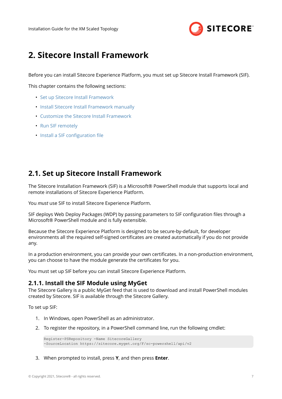

# <span id="page-6-0"></span>**2. Sitecore Install Framework**

Before you can install Sitecore Experience Platform, you must set up Sitecore Install Framework (SIF).

This chapter contains the following sections:

- Set up Sitecore Install Framework
- [Install Sitecore Install Framework manually](#page-8-0)
- [Customize the Sitecore Install Framework](#page-9-0)
- [Run SIF remotely](#page-9-0)
- Install a SIF configuration file

## **2.1. Set up Sitecore Install Framework**

The Sitecore Installation Framework (SIF) is a Microsoft® PowerShell module that supports local and remote installations of Sitecore Experience Platform.

You *must* use SIF to install Sitecore Experience Platform.

SIF deploys Web Deploy Packages (WDP) by passing parameters to SIF configuration files through a Microsoft® PowerShell module and is fully extensible.

Because the Sitecore Experience Platform is designed to be secure-by-default, for developer environments all the required self-signed certificates are created automatically if you do not provide any.

In a production environment, you can provide your own certificates. In a non-production environment, you can choose to have the module generate the certificates for you.

You must set up SIF before you can install Sitecore Experience Platform.

#### **2.1.1. Install the SIF Module using MyGet**

The Sitecore Gallery is a public MyGet feed that is used to download and install PowerShell modules created by Sitecore. SIF is available through the Sitecore Gallery.

To set up SIF:

- 1. In Windows, open PowerShell as an administrator.
- 2. To register the repository, in a PowerShell command line, run the following cmdlet:

```
Register-PSRepository -Name SitecoreGallery
-SourceLocation https://sitecore.myget.org/F/sc-powershell/api/v2
```
3. When prompted to install, press **Y**, and then press **Enter**.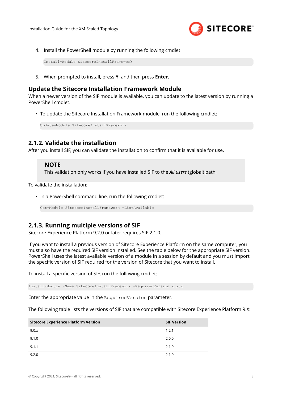

<span id="page-7-0"></span>4. Install the PowerShell module by running the following cmdlet:

Install-Module SitecoreInstallFramework

5. When prompted to install, press **Y**, and then press **Enter**.

## **Update the Sitecore Installation Framework Module**

When a newer version of the SIF module is available, you can update to the latest version by running a PowerShell cmdlet.

• To update the Sitecore Installation Framework module, run the following cmdlet:

Update-Module SitecoreInstallFramework

## **2.1.2. Validate the installation**

After you install SIF, you can validate the installation to confirm that it is available for use.

#### **NOTE**

This validation only works if you have installed SIF to the *All users* (global) path.

To validate the installation:

• In a PowerShell command line, run the following cmdlet:

Get-Module SitecoreInstallFramework –ListAvailable

## **2.1.3. Running multiple versions of SIF**

Sitecore Experience Platform 9.2.0 or later requires SIF 2.1.0.

If you want to install a previous version of Sitecore Experience Platform on the same computer, you must also have the required SIF version installed. See the table below for the appropriate SIF version. PowerShell uses the latest available version of a module in a session by default and you must import the specific version of SIF required for the version of Sitecore that you want to install.

To install a specific version of SIF, run the following cmdlet:

Install-Module -Name SitecoreInstallFramework -RequiredVersion x.x.x

Enter the appropriate value in the RequiredVersion parameter.

The following table lists the versions of SIF that are compatible with Sitecore Experience Platform 9.X:

| <b>Sitecore Experience Platform Version</b> | <b>SIF Version</b> |
|---------------------------------------------|--------------------|
| 9.0.x                                       | 1.2.1              |
| 9.1.0                                       | 2.0.0              |
| 9.1.1                                       | 2.1.0              |
| 9.2.0                                       | 2.1.0              |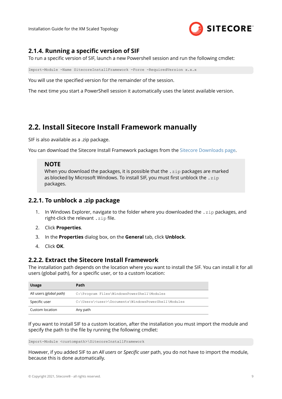

## <span id="page-8-0"></span>**2.1.4. Running a specific version of SIF**

To run a specific version of SIF, launch a new Powershell session and run the following cmdlet:

Import-Module -Name SitecoreInstallFramework -Force -RequiredVersion x.x.x

You will use the specified version for the remainder of the session.

The next time you start a PowerShell session it automatically uses the latest available version.

## **2.2. Install Sitecore Install Framework manually**

SIF is also available as a .zip package.

You can download the Sitecore Install Framework packages from the [Sitecore Downloads page](https://dev.sitecore.net).

#### **NOTE**

When you download the packages, it is possible that the  $\cdot$  zip packages are marked as blocked by Microsoft Windows. To install SIF, you must first unblock the . zip packages.

## **2.2.1. To unblock a .zip package**

- 1. In Windows Explorer, navigate to the folder where you downloaded the  $\cdot$ zip packages, and right-click the relevant  $.$  zip file.
- 2. Click **Properties**.
- 3. In the **Properties** dialog box, on the **General** tab, click **Unblock**.
- 4. Click **OK**.

### **2.2.2. Extract the Sitecore Install Framework**

The installation path depends on the location where you want to install the SIF. You can install it for all users (global path), for a specific user, or to a custom location:

| <b>Usage</b>            | Path                                                        |
|-------------------------|-------------------------------------------------------------|
| All users (global path) | C:\Program Files\WindowsPowerShell\Modules                  |
| Specific user           | C:\Users\ <user>\Documents\WindowsPowerShell\Modules</user> |
| Custom location         | Any path                                                    |

If you want to install SIF to a custom location, after the installation you must import the module and specify the path to the file by running the following cmdlet:

Import-Module <custompath>\SitecoreInstallFramework

However, if you added SIF to an *All users* or *Specific user* path, you do not have to import the module, because this is done automatically.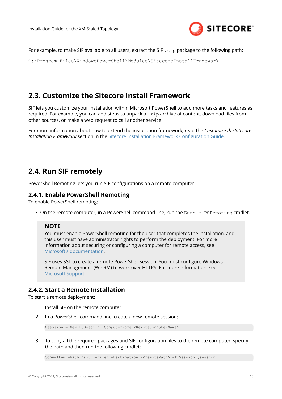

<span id="page-9-0"></span>For example, to make SIF available to all users, extract the SIF .zip package to the following path:

C:\Program Files\WindowsPowerShell\Modules\SitecoreInstallFramework

## **2.3. Customize the Sitecore Install Framework**

SIF lets you customize your installation within Microsoft PowerShell to add more tasks and features as required. For example, you can add steps to unpack a  $\cdot$  zip archive of content, download files from other sources, or make a web request to call another service.

For more information about how to extend the installation framework, read the *Customize the Sitecore Installation Framework* section in the Sitecore Installation Framework Configuration Guide.

## **2.4. Run SIF remotely**

PowerShell Remoting lets you run SIF configurations on a remote computer.

### **2.4.1. Enable PowerShell Remoting**

To enable PowerShell remoting:

• On the remote computer, in a PowerShell command line, run the Enable-PSRemoting cmdlet.

### **NOTE**

You must enable PowerShell remoting for the user that completes the installation, and this user must have administrator rights to perform the deployment. For more information about securing or configuring a computer for remote access, see [Microsoft's documentation.](https://msdn.microsoft.com/en-us/powershell/reference/5.1/microsoft.powershell.core/enable-psremoting)

SIF uses SSL to create a remote PowerShell session. You must configure Windows Remote Management (WinRM) to work over HTTPS. For more information, see [Microsoft Support](https://support.microsoft.com/en-ca/help/2019527/how-to-configure-winrm-for-https).

## **2.4.2. Start a Remote Installation**

To start a remote deployment:

- 1. Install SIF on the remote computer.
- 2. In a PowerShell command line, create a new remote session:

\$session = New-PSSession -ComputerName <RemoteComputerName>

3. To copy all the required packages and SIF configuration files to the remote computer, specify the path and then run the following cmdlet:

Copy-Item -Path <sourcefile> -Destination -<remotePath> -ToSession \$session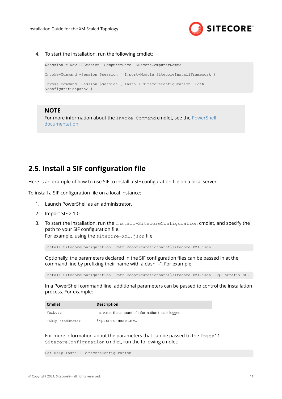

<span id="page-10-0"></span>4. To start the installation, run the following cmdlet:

```
$session = New-PSSession -ComputerName <RemoteComputerName>
Invoke-Command -Session $session { Import-Module SitecoreInstallFramework }
Invoke-Command -Session $session { Install-SitecoreConfiguration -Path 
<configurationpath> }
```
#### **NOTE**

For more information about the Invoke-Command cmdlet, see the [PowerShell](https://msdn.microsoft.com/en-us/powershell/reference/5.1/microsoft.powershell.core/invoke-command) [documentation](https://msdn.microsoft.com/en-us/powershell/reference/5.1/microsoft.powershell.core/invoke-command).

## **2.5. Install a SIF configuration file**

Here is an example of how to use SIF to install a SIF configuration file on a local server.

To install a SIF configuration file on a local instance:

- 1. Launch PowerShell as an administrator.
- 2. Import SIF 2.1.0.
- 3. To start the installation, run the Install-SitecoreConfiguration cmdlet, and specify the path to your SIF configuration file.

For example, using the sitecore-XM1.json file:

Install-SitecoreConfiguration –Path <configurationpath>\sitecore-XM1.json

Optionally, the parameters declared in the SIF configuration files can be passed in at the command line by prefixing their name with a dash "-". For example:

Install-SitecoreConfiguration -Path <configurationpath>\sitecore-XM1.json -SqlDbPrefix SC.

In a PowerShell command line, additional parameters can be passed to control the installation process. For example:

| Cmdlet                      | <b>Description</b>                                  |
|-----------------------------|-----------------------------------------------------|
| Verbose                     | Increases the amount of information that is logged. |
| -Skip <taskname></taskname> | Skips one or more tasks.                            |

For more information about the parameters that can be passed to the Install-SitecoreConfiguration cmdlet, run the following cmdlet:

Get-Help Install-SitecoreConfiguration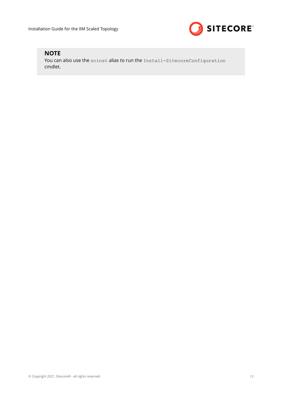

## **NOTE**

You can also use the scinst alias to run the Install-SitecoreConfiguration cmdlet.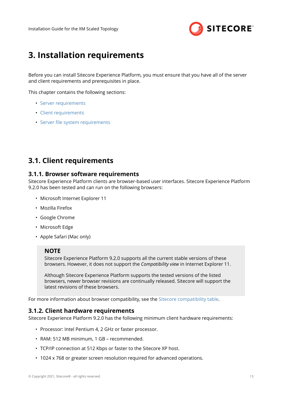

# <span id="page-12-0"></span>**3. Installation requirements**

Before you can install Sitecore Experience Platform, you must ensure that you have all of the server and client requirements and prerequisites in place.

This chapter contains the following sections:

- [Server requirements](#page-13-0)
- Client requirements
- Server file system requirements

## **3.1. Client requirements**

#### **3.1.1. Browser software requirements**

Sitecore Experience Platform clients are browser-based user interfaces. Sitecore Experience Platform 9.2.0 has been tested and can run on the following browsers:

- Microsoft Internet Explorer 11
- Mozilla Firefox
- Google Chrome
- Microsoft Edge
- Apple Safari (Mac only)

#### **NOTE**

Sitecore Experience Platform 9.2.0 supports all the current stable versions of these browsers. However, it does not support the *Compatibility view* in Internet Explorer 11.

Although Sitecore Experience Platform supports the tested versions of the listed browsers, newer browser revisions are continually released. Sitecore will support the latest revisions of these browsers.

For more information about browser compatibility, see the [Sitecore compatibility table](https://kb.sitecore.net/articles/087164).

#### **3.1.2. Client hardware requirements**

Sitecore Experience Platform 9.2.0 has the following minimum client hardware requirements:

- Processor: Intel Pentium 4, 2 GHz or faster processor.
- RAM: 512 MB minimum, 1 GB recommended.
- TCP/IP connection at 512 Kbps or faster to the Sitecore XP host.
- 1024 x 768 or greater screen resolution required for advanced operations.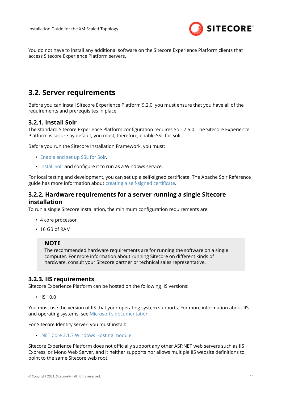

<span id="page-13-0"></span>You do not have to install any additional software on the Sitecore Experience Platform clients that access Sitecore Experience Platform servers.

## **3.2. Server requirements**

Before you can install Sitecore Experience Platform 9.2.0, you must ensure that you have all of the requirements and prerequisites in place.

## **3.2.1. Install Solr**

The standard Sitecore Experience Platform configuration requires Solr 7.5.0. The Sitecore Experience Platform is secure by default, you must, therefore, enable SSL for Solr.

Before you run the Sitecore Installation Framework, you must:

- [Enable and set up SSL for Solr.](https://lucene.apache.org/solr/guide/7_5/enabling-ssl.html)
- [Install Solr](https://lucene.apache.org/solr/guide/7_5/installing-solr.html) and configure it to run as a Windows service.

For local testing and development, you can set up a self-signed certificate. The Apache Solr Reference guide has more information about creating a self-signed certificate.

## **3.2.2. Hardware requirements for a server running a single Sitecore installation**

To run a single Sitecore installation, the minimum configuration requirements are:

- 4 core processor
- 16 GB of RAM

#### **NOTE**

The recommended hardware requirements are for running the software on a single computer. For more information about running Sitecore on different kinds of hardware, consult your Sitecore partner or technical sales representative.

### **3.2.3. IIS requirements**

Sitecore Experience Platform can be hosted on the following IIS versions:

• IIS 10.0

You must use the version of IIS that your operating system supports. For more information about IIS and operating systems, see [Microsoft's documentation.](https://docs.microsoft.com/en-us/)

For Sitecore Identity server, you must install:

• [.NET Core 2.1.7 Windows Hosting module](https://dotnet.microsoft.com/download/thank-you/dotnet-runtime-2.1.7-windows-hosting-bundle-installer)

Sitecore Experience Platform does not officially support any other ASP.NET web servers such as IIS Express, or Mono Web Server, and it neither supports nor allows multiple IIS website definitions to point to the same Sitecore web root.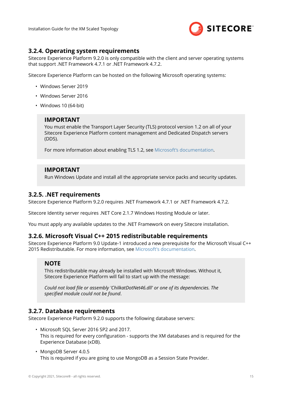

## <span id="page-14-0"></span>**3.2.4. Operating system requirements**

Sitecore Experience Platform 9.2.0 is only compatible with the client and server operating systems that support .NET Framework 4.7.1 or .NET Framework 4.7.2.

Sitecore Experience Platform can be hosted on the following Microsoft operating systems:

- Windows Server 2019
- Windows Server 2016
- Windows 10 (64-bit)

### **IMPORTANT**

You must enable the Transport Layer Security (TLS) protocol version 1.2 on all of your Sitecore Experience Platform content management and Dedicated Dispatch servers (DDS).

For more information about enabling TLS 1.2, see [Microsoft's documentation.](https://www.microsoft.com/en-us/download/details.aspx?id=55266)

### **IMPORTANT**

Run Windows Update and install all the appropriate service packs and security updates.

### **3.2.5. .NET requirements**

Sitecore Experience Platform 9.2.0 requires .NET Framework 4.7.1 or .NET Framework 4.7.2.

Sitecore Identity server requires .NET Core 2.1.7 Windows Hosting Module or later.

You must apply any available updates to the .NET Framework on every Sitecore installation.

## **3.2.6. Microsoft Visual C++ 2015 redistributable requirements**

Sitecore Experience Platform 9.0 Update-1 introduced a new prerequisite for the Microsoft Visual C++ 2015 Redistributable. For more information, see [Microsoft's documentation.](https://www.microsoft.com/en-us/download/details.aspx?id=53587)

## **NOTE**

This redistributable may already be installed with Microsoft Windows. Without it, Sitecore Experience Platform will fail to start up with the message:

*Could not load ȴle or assembly 'ChilkatDotNet46.dll' or one of its dependencies. The* specified module could not be found.

### **3.2.7. Database requirements**

Sitecore Experience Platform 9.2.0 supports the following database servers:

- Microsoft SQL Server 2016 SP2 and 2017. This is required for every configuration - supports the XM databases and is required for the Experience Database (xDB).
- MongoDB Server 4.0.5 This is required if you are going to use MongoDB as a Session State Provider.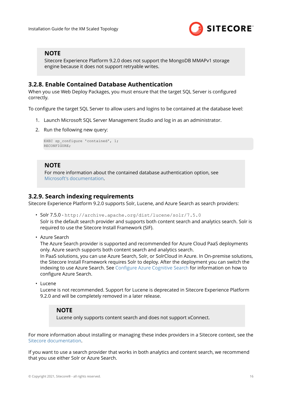

## <span id="page-15-0"></span>**NOTE**

Sitecore Experience Platform 9.2.0 does not support the MongoDB MMAPv1 storage engine because it does not support retryable writes.

## **3.2.8. Enable Contained Database Authentication**

When you use Web Deploy Packages, you must ensure that the target SQL Server is configured correctly.

To configure the target SQL Server to allow users and logins to be contained at the database level:

- 1. Launch Microsoft SQL Server Management Studio and log in as an administrator.
- 2. Run the following new query:

```
EXEC sp configure 'contained', 1;RECONFIGURE;
```
### **NOTE**

For more information about the contained database authentication option, see [Microsoft's documentation.](https://docs.microsoft.com/en-us/sql/database-engine/configure-windows/contained-database-authentication-server-configuration-option?view=sql-server-2017)

## **3.2.9. Search indexing requirements**

Sitecore Experience Platform 9.2.0 supports Solr, Lucene, and Azure Search as search providers:

• Solr 7.5.0 - http://archive.apache.org/dist/lucene/solr/7.5.0

Solr is the default search provider and supports both content search and analytics search. Solr is required to use the Sitecore Install Framework (SIF).

• Azure Search

The Azure Search provider is supported and recommended for Azure Cloud PaaS deployments only. Azure search supports both content search and analytics search.

In PaaS solutions, you can use Azure Search, Solr, or SolrCloud in Azure. In On-premise solutions, the Sitecore Install Framework requires Solr to deploy. After the deployment you can switch the indexing to use Azure Search. See Configure Azure Cognitive Search for information on how to configure Azure Search.

• Lucene

Lucene is not recommended. Support for Lucene is deprecated in Sitecore Experience Platform 9.2.0 and will be completely removed in a later release.

#### **NOTE**

Lucene only supports content search and does not support xConnect.

For more information about installing or managing these index providers in a Sitecore context, see the [Sitecore documentation](https://doc.sitecore.com/developers/91/platform-administration-and-architecture/en/using-solr,-lucene,-or-azure-search.html).

If you want to use a search provider that works in both analytics and content search, we recommend that you use either Solr or Azure Search.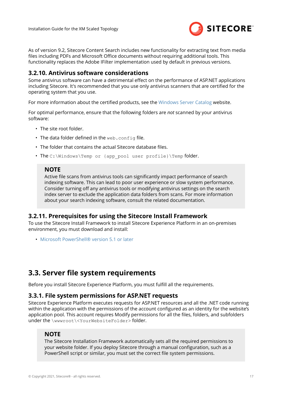

<span id="page-16-0"></span>As of version 9.2, Sitecore Content Search includes new functionality for extracting text from media files including PDFs and Microsoft Office documents without requiring additional tools. This functionality replaces the Adobe IFilter implementation used by default in previous versions.

### **3.2.10. Antivirus software considerations**

Some antivirus software can have a detrimental effect on the performance of ASP.NET applications including Sitecore. It's recommended that you use only antivirus scanners that are certified for the operating system that you use.

For more information about the certified products, see the [Windows Server Catalog](https://www.windowsservercatalog.com/) website.

For optimal performance, ensure that the following folders are *not* scanned by your antivirus software:

- The site root folder.
- The data folder defined in the web.config file.
- The folder that contains the actual Sitecore database files.
- The C:\Windows\Temp or {app pool user profile}\Temp folder.

#### **NOTE**

Active file scans from antivirus tools can significantly impact performance of search indexing software. This can lead to poor user experience or slow system performance. Consider turning off any antivirus tools or modifying antivirus settings on the search index server to exclude the application data folders from scans. For more information about your search indexing software, consult the related documentation.

### **3.2.11. Prerequisites for using the Sitecore Install Framework**

To use the Sitecore Install Framework to install Sitecore Experience Platform in an on-premises environment, you must download and install:

• [Microsoft PowerShell® version 5.1 or later](https://www.microsoft.com/en-us/download/details.aspx?id=54616)

## **3.3. Server file system requirements**

Before vou install Sitecore Experience Platform, you must fulfill all the requirements.

### **3.3.1. File system permissions for ASP.NET requests**

Sitecore Experience Platform executes requests for ASP.NET resources and all the .NET code running within the application with the permissions of the account configured as an identity for the website's application pool. This account requires Modify permissions for all the files, folders, and subfolders under the \wwwroot\<YourWebsiteFolder> folder.

#### **NOTE**

The Sitecore Installation Framework automatically sets all the required permissions to your website folder. If you deploy Sitecore through a manual configuration, such as a PowerShell script or similar, you must set the correct file system permissions.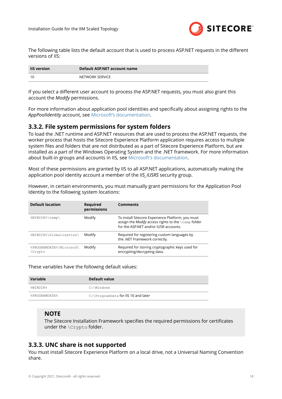

<span id="page-17-0"></span>The following table lists the default account that is used to process ASP.NET requests in the different versions of IIS:

| <b>IIS version</b> | Default ASP.NET account name |  |  |  |
|--------------------|------------------------------|--|--|--|
|                    | NETWORK SERVICE              |  |  |  |

If you select a different user account to process the ASP.NET requests, you must also grant this account the *Modify* permissions.

For more information about application pool identities and specifically about assigning rights to the *AppPoolIdentity* account, see [Microsoft's documentation.](https://docs.microsoft.com/en-us/iis/manage/configuring-security/application-pool-identities)

### **3.3.2. File system permissions for system folders**

To load the .NET runtime and ASP.NET resources that are used to process the ASP.NET requests, the worker process that hosts the Sitecore Experience Platform application requires access to multiple system files and folders that are not distributed as a part of Sitecore Experience Platform, but are installed as a part of the Windows Operating System and the .NET framework. For more information about built-in groups and accounts in IIS, see [Microsoft's documentation.](https://docs.microsoft.com/en-us/iis/get-started/planning-for-security/understanding-built-in-user-and-group-accounts-in-iis)

Most of these permissions are granted by IIS to all ASP.NET applications, automatically making the application pool identity account a member of the *IIS\_IUSRS* security group.

However, in certain environments, you must manually grant permissions for the Application Pool Identity to the following system locations:

| <b>Default location</b>           | <b>Required</b><br>permissions | <b>Comments</b>                                                                                                                                   |
|-----------------------------------|--------------------------------|---------------------------------------------------------------------------------------------------------------------------------------------------|
| %WINDIR%\temp\                    | Modify                         | To install Sitecore Experience Platform, you must<br>assign the Modify access rights to the \temp folder<br>for the ASP.NET and/or IUSR accounts. |
| %WINDIR%\Globalization\           | Modify                         | Required for registering custom languages by<br>the .NET Framework correctly.                                                                     |
| %PROGRAMDATA%\Microsoft<br>Crypto | Modify                         | Required for storing cryptographic keys used for<br>encrypting/decrypting data.                                                                   |

These variables have the following default values:

| Variable      | Default value                        |
|---------------|--------------------------------------|
| %WINDIR%      | C:\Windows                           |
| %PROGRAMDATA% | C: \ProgramData for IIS 10 and later |

### **NOTE**

The Sitecore Installation Framework specifies the required permissions for certificates under the \Crypto folder.

## **3.3.3. UNC share is not supported**

You must install Sitecore Experience Platform on a local drive, not a Universal Naming Convention share.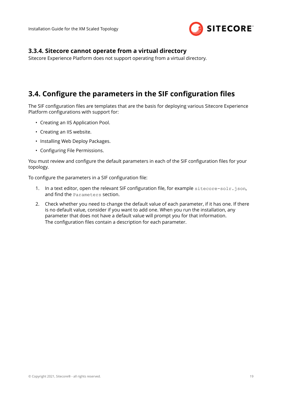

## <span id="page-18-0"></span>**3.3.4. Sitecore cannot operate from a virtual directory**

Sitecore Experience Platform does not support operating from a virtual directory.

## **3.4. Configure the parameters in the SIF configuration files**

The SIF configuration files are templates that are the basis for deploying various Sitecore Experience Platform configurations with support for:

- Creating an IIS Application Pool.
- Creating an IIS website.
- Installing Web Deploy Packages.
- Configuring File Permissions.

You must review and configure the default parameters in each of the SIF configuration files for your topology.

To configure the parameters in a SIF configuration file:

- 1. In a text editor, open the relevant SIF configuration file, for example sitecore-solr.json, and find the Parameters section.
- 2. Check whether you need to change the default value of each parameter, if it has one. If there is no default value, consider if you want to add one. When you run the installation, any parameter that does not have a default value will prompt you for that information. The configuration files contain a description for each parameter.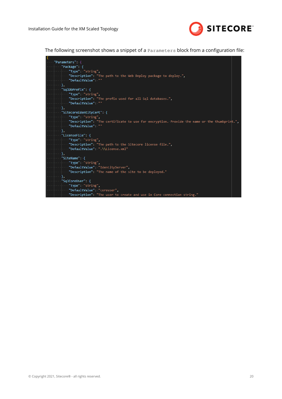

The following screenshot shows a snippet of a  $\beta$   $\beta$   $\alpha$   $\beta$  are  $\alpha$  and  $\beta$  are  $\beta$  from a configuration file:

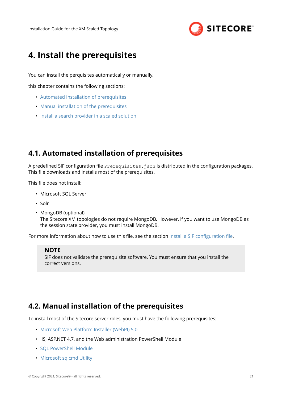

# <span id="page-20-0"></span>**4. Install the prerequisites**

You can install the perquisites automatically or manually.

this chapter contains the following sections:

- Automated installation of prerequisites
- Manual installation of the prerequisites
- [Install a search provider in a scaled solution](#page-22-0)

## **4.1. Automated installation of prerequisites**

A predefined SIF configuration file Prerequisites.json is distributed in the configuration packages. This file downloads and installs most of the prerequisites.

This file does not install:

- Microsoft SQL Server
- Solr
- MongoDB (optional)

The Sitecore XM topologies do not require MongoDB. However, if you want to use MongoDB as the session state provider, you must install MongoDB.

For more information about how to use this file, see the section Install a SIF configuration file.

#### **NOTE**

SIF does not validate the prerequisite software. You must ensure that you install the correct versions.

## **4.2. Manual installation of the prerequisites**

To install most of the Sitecore server roles, you must have the following prerequisites:

- [Microsoft Web Platform Installer \(WebPI\) 5.0](https://www.microsoft.com/web/downloads/platform.aspx)
- IIS, ASP.NET 4.7, and the Web administration PowerShell Module
- [SQL PowerShell Module](https://docs.microsoft.com/en-us/sql/powershell/download-sql-server-ps-module?view=sql-server-2017)
- [Microsoft sqlcmd Utility](https://download.microsoft.com/download/C/8/8/C88C2E51-8D23-4301-9F4B-64C8E2F163C5/x64/MsSqlCmdLnUtils.msi)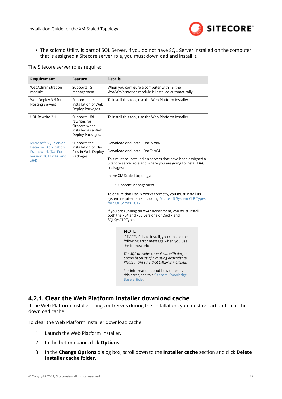

<span id="page-21-0"></span>• The sqlcmd Utility is part of SQL Server. If you do not have SQL Server installed on the computer that is assigned a Sitecore server role, you must download and install it.

#### The Sitecore server roles require:

| Requirement                                          | Feature                                                                                        | <b>Details</b>                                                                                                                                                                                                                                         |  |  |
|------------------------------------------------------|------------------------------------------------------------------------------------------------|--------------------------------------------------------------------------------------------------------------------------------------------------------------------------------------------------------------------------------------------------------|--|--|
| WebAdministration<br>module                          | Supports IIS<br>management.                                                                    | When you configure a computer with IIS, the<br>WebAdministration module is installed automatically.                                                                                                                                                    |  |  |
| Web Deploy 3.6 for<br><b>Hosting Servers</b>         | Supports the<br>installation of Web<br>Deploy Packages.                                        | To install this tool, use the Web Platform Installer                                                                                                                                                                                                   |  |  |
| URL Rewrite 2.1                                      | <b>Supports URL</b><br>rewrites for<br>Sitecore when<br>installed as a Web<br>Deploy Packages. | To install this tool, use the Web Platform Installer                                                                                                                                                                                                   |  |  |
| Microsoft SQL Server<br><b>Data-Tier Application</b> | Supports the<br>installation of .dac                                                           | Download and install DacFx x86.                                                                                                                                                                                                                        |  |  |
| Framework (DacFx)                                    | files in Web Deploy                                                                            | Download and install DacFX x64.                                                                                                                                                                                                                        |  |  |
| version 2017 (x86 and<br>x64)                        | Packages                                                                                       | This must be installed on servers that have been assigned a<br>Sitecore server role and where you are going to install DAC<br>packages:                                                                                                                |  |  |
|                                                      |                                                                                                | In the XM Scaled topology:                                                                                                                                                                                                                             |  |  |
|                                                      |                                                                                                | • Content Management                                                                                                                                                                                                                                   |  |  |
|                                                      |                                                                                                | To ensure that DacFx works correctly, you must install its<br>system requirements including Microsoft System CLR Types<br>for SQL Server 2017.                                                                                                         |  |  |
|                                                      |                                                                                                | If you are running an x64 environment, you must install<br>both the x64 and x86 versions of DacFx and<br>SQLSysCLRTypes.                                                                                                                               |  |  |
|                                                      |                                                                                                | <b>NOTE</b><br>If DACFx fails to install, you can see the<br>following error message when you use<br>the framework:<br>The SQL provider cannot run with dacpac<br>option because of a missing dependency.<br>Please make sure that DACFx is installed. |  |  |
|                                                      |                                                                                                | For information about how to resolve<br>this error, see this Sitecore Knowledge<br>Base article.                                                                                                                                                       |  |  |

## **4.2.1. Clear the Web Platform Installer download cache**

If the Web Platform Installer hangs or freezes during the installation, you must restart and clear the download cache.

To clear the Web Platform Installer download cache:

- 1. Launch the Web Platform Installer.
- 2. In the bottom pane, click **Options**.
- 3. In the **Change Options** dialog box, scroll down to the **Installer cache** section and click **Delete installer cache folder**.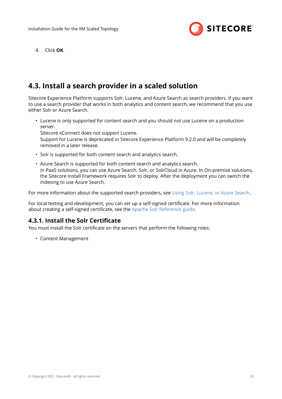

<span id="page-22-0"></span>4. Click **OK**.

## **4.3. Install a search provider in a scaled solution**

Sitecore Experience Platform supports Solr, Lucene, and Azure Search as search providers. If you want to use a search provider that works in both analytics and content search, we recommend that you use either Solr or Azure Search.

• Lucene is only supported for content search and you should not use Lucene on a production server.

Sitecore xConnect does not support Lucene.

Support for Lucene is deprecated in Sitecore Experience Platform 9.2.0 and will be completely removed in a later release.

- Solr is supported for both content search and analytics search.
- Azure Search is supported for both content search and analytics search. In PaaS solutions, you can use Azure Search, Solr, or SolrCloud in Azure. In On-premise solutions, the Sitecore Install Framework requires Solr to deploy. After the deployment you can switch the indexing to use Azure Search.

For more information about the supported search providers, see [Using Solr, Lucene, or Azure Search](https://doc.sitecore.com/developers/92/platform-administration-and-architecture/en/using-solr,-lucene,-or-azure-search.html).

For local testing and development, you can set up a self-signed certificate. For more information about creating a self-signed certificate, see the [Apache Solr Reference guide.](https://lucene.apache.org/solr/guide/7_5/enabling-ssl.html#generate-a-self-signed-certificate-and-a-key)

## **4.3.1. Install the Solr Certificate**

You must install the Solr certificate on the servers that perform the following roles:

• Content Management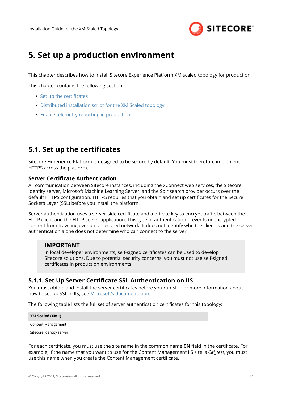

# <span id="page-23-0"></span>**5. Set up a production environment**

This chapter describes how to install Sitecore Experience Platform XM scaled topology for production.

This chapter contains the following section:

- Set up the certificates
- [Distributed installation script for the XM Scaled topology](#page-26-0)
- [Enable telemetry reporting in production](#page-27-0)

## **5.1. Set up the certificates**

Sitecore Experience Platform is designed to be secure by default. You must therefore implement HTTPS across the platform.

#### **Server Certificate Authentication**

All communication between Sitecore instances, including the xConnect web services, the Sitecore Identity server, Microsoft Machine Learning Server, and the Solr search provider occurs over the default HTTPS configuration. HTTPS requires that you obtain and set up certificates for the Secure Sockets Layer (SSL) before you install the platform.

Server authentication uses a server-side certificate and a private key to encrypt traffic between the HTTP client and the HTTP server application. This type of authentication prevents unencrypted content from traveling over an unsecured network. It does not identify who the client is and the server authentication alone does not determine who can connect to the server.

#### **IMPORTANT**

In local developer environments, self-signed certificates can be used to develop Sitecore solutions. Due to potential security concerns, you must not use self-signed certificates in production environments.

## **5.1.1. Set Up Server Certificate SSL Authentication on IIS**

You must obtain and install the server certificates before you run SIF. For more information about how to set up SSL in IIS, see [Microsoft's documentation](https://docs.microsoft.com/en-us/iis/manage/configuring-security/how-to-set-up-ssl-on-iis).

The following table lists the full set of server authentication certificates for this topology:

| <b>XM Scaled (XM1)</b>   |
|--------------------------|
| Content Management       |
| Sitecore Identity server |

For each certificate, you must use the site name in the common name **CN** field in the certificate. For example, if the name that you want to use for the Content Management IIS site is *CM\_test*, you must use this name when you create the Content Management certificate.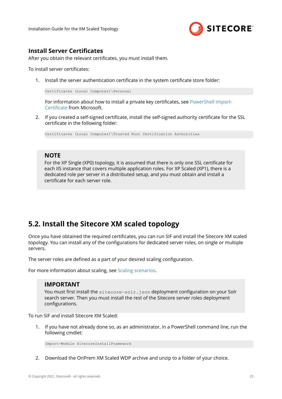

## <span id="page-24-0"></span>**Install Server Certificates**

After you obtain the relevant certificates, you must install them.

To install server certificates:

1. Install the server authentication certificate in the system certificate store folder:

Certificates (Local Computer)\Personal

For information about how to install a private key certificates, see PowerShell Import-Certificate from Microsoft.

2. If you created a self-signed certificate, install the self-signed authority certificate for the SSL certificate in the following folder:

Certificates (Local Computer)\Trusted Root Certification Authorities

### **NOTE**

For the XP Single (XP0) topology, it is assumed that there is only one SSL certificate for each IIS instance that covers multiple application roles. For XP Scaled (XP1), there is a dedicated role per server in a distributed setup, and you must obtain and install a certificate for each server role.

## **5.2. Install the Sitecore XM scaled topology**

Once you have obtained the required certificates, you can run SIF and install the Sitecore XM scaled topology. You can install any of the configurations for dedicated server roles, on single or multiple servers.

The server roles are defined as a part of your desired scaling configuration.

For more information about scaling, see [Scaling scenarios.](https://doc.sitecore.com/developers/92/platform-administration-and-architecture/en/scaling-scenarios.html)

### **IMPORTANT**

You must first install the sitecore-solr.json deployment configuration on your Solr search server. Then you must install the rest of the Sitecore server roles deployment configurations.

To run SIF and install Sitecore XM Scaled:

1. If you have not already done so, as an administrator, in a PowerShell command line, run the following cmdlet:

Import-Module SitecoreInstallFramework

2. Download the OnPrem XM Scaled WDP archive and unzip to a folder of your choice.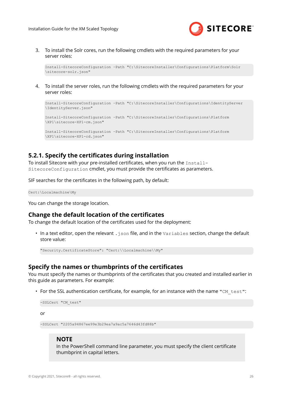

<span id="page-25-0"></span>3. To install the Solr cores, run the following cmdlets with the required parameters for your server roles:

```
Install-SitecoreConfiguration –Path "C:\SitecoreInstaller\Configurations\Platform\Solr
\sitecore-solr.json"
```
4. To install the server roles, run the following cmdlets with the required parameters for your server roles:

```
Install-SitecoreConfiguration –Path "C:\SitecoreInstaller\Configurations\IdentityServer
\IdentityServer.json"
Install-SitecoreConfiguration –Path "C:\SitecoreInstaller\Configurations\Platform
\XP1\sitecore-XP1-cm.json"
```
Install-SitecoreConfiguration –Path "C:\SitecoreInstaller\Configurations\Platform \XP1\sitecore-XP1-cd.json"

## **5.2.1. Specify the certificates during installation**

To install Sitecore with your pre-installed certificates, when you run the Install-SitecoreConfiguration cmdlet, you must provide the certificates as parameters.

SIF searches for the certificates in the following path, by default:

Cert:\Localmachine\My

You can change the storage location.

#### **Change the default location of the certificates**

To change the default location of the certificates used for the deployment:

• In a text editor, open the relevant . json file, and in the Variables section, change the default store value:

"Security.CertificateStore": "Cert:\\Localmachine\\My"

#### **Specify the names or thumbprints of the certificates**

You must specify the names or thumbprints of the certificates that you created and installed earlier in this guide as parameters. For example:

• For the SSL authentication certificate, for example, for an instance with the name "CM\_test":

```
-SSLCert "CM_test"
or
```
-SSLCert "2205a94867ee99e3b29ea7a9ac5a7646d43fd88b"

#### **NOTE**

In the PowerShell command line parameter, you must specify the client certificate thumbprint in capital letters.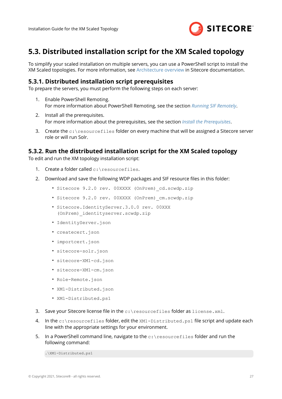

## <span id="page-26-0"></span>**5.3. Distributed installation script for the XM Scaled topology**

To simplify your scaled installation on multiple servers, you can use a PowerShell script to install the XM Scaled topologies. For more information, see [Architecture overview](https://doc.sitecore.com/developers/92/platform-administration-and-architecture/en/architecture-overview.html) in Sitecore documentation.

### **5.3.1. Distributed installation script prerequisites**

To prepare the servers, you must perform the following steps on each server:

- 1. Enable PowerShell Remoting. For more information about PowerShell Remoting, see the section *[Running SIF Remotely](#page-9-0)*.
- 2. Install all the prerequisites. For more information about the prerequisites, see the section *[Install the Prerequisites](#page-20-0)*.
- 3. Create the  $c:\text{resources}$  folder on every machine that will be assigned a Sitecore server role or will run Solr.

### **5.3.2. Run the distributed installation script for the XM Scaled topology**

To edit and run the XM topology installation script:

- 1. Create a folder called c: \resourcefiles.
- 2. Download and save the following WDP packages and SIF resource files in this folder:
	- Sitecore 9.2.0 rev. 00XXXX (OnPrem)\_cd.scwdp.zip
	- Sitecore 9.2.0 rev. 00XXXX (OnPrem)\_cm.scwdp.zip
	- Sitecore.IdentityServer.3.0.0 rev. 00XXX (OnPrem)\_identityserver.scwdp.zip
	- IdentityServer.json
	- createcert.json
	- importcert.json
	- sitecore-solr.json
	- sitecore-XM1-cd.json
	- sitecore-XM1-cm.json
	- Role-Remote.json
	- XM1-Distributed.json
	- XM1-Distributed.ps1
- 3. Save your Sitecore license ȴle in the c:\resourcefiles folder as license.xml.
- 4. In the  $c:\text{respecties}$  folder, edit the  $xM1-Distributed.py1$  file script and update each line with the appropriate settings for your environment.
- 5. In a PowerShell command line, navigate to the  $c$ : \resourcefiles folder and run the following command:

.\XM1-Distributed.ps1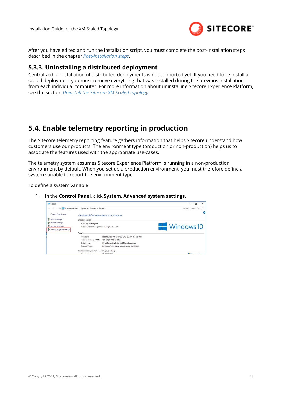

<span id="page-27-0"></span>After you have edited and run the installation script, you must complete the post-installation steps described in the chapter *[Post-installation steps](#page-30-0)*.

## **5.3.3. Uninstalling a distributed deployment**

Centralized uninstallation of distributed deployments is not supported yet. If you need to re-install a scaled deployment you must remove everything that was installed during the previous installation from each individual computer. For more information about uninstalling Sitecore Experience Platform, see the section *[Uninstall the Sitecore XM Scaled topology](#page-34-0)*.

## **5.4. Enable telemetry reporting in production**

The Sitecore telemetry reporting feature gathers information that helps Sitecore understand how customers use our products. The environment type (production or non-production) helps us to associate the features used with the appropriate use-cases.

The telemetry system assumes Sitecore Experience Platform is running in a non-production environment by default. When you set up a production environment, you must therefore define a system variable to report the environment type.

To define a system variable:

1. In the **Control Panel**, click **System**, **Advanced system settings**.

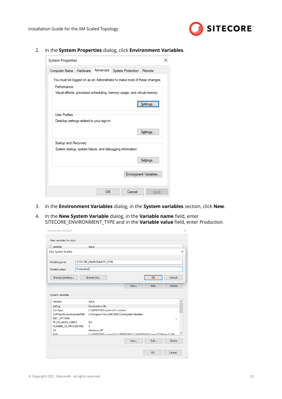

2. In the **System Properties** dialog, click **Environment Variables**.



- 3. In the **Environment Variables** dialog, in the **System variables** section, click **New**.
- 4. In the **New System Variable** dialog, in the **Variable name** field, enter SITECORE\_ENVIRONMENT\_TYPE and in the **Variable value** ȴeld, enter *Production*.

| Variable                                | Value                                                                          |          |
|-----------------------------------------|--------------------------------------------------------------------------------|----------|
| New System Variable                     |                                                                                | $\times$ |
| Variable name:                          | SITECORE_ENVIRONMENT_TYPE                                                      |          |
| Production<br>Variable value:           |                                                                                |          |
| Browse Directory                        | Cancel<br>Browse Eile<br><b>OK</b>                                             |          |
|                                         |                                                                                |          |
|                                         | <b>Delete</b><br>New<br>Edit                                                   |          |
| System variables<br>Variable            | Value                                                                          |          |
| asl.log                                 | Destination=file                                                               |          |
| ComSpec<br>DellClientSystemUpdatePath   | C:\WINDOWS\system32\cmd.exe<br>C:\Program Files (x86)\Dell\ClientSystemUpdate\ |          |
| <b>ESET_OPTIONS</b><br>FP_NO_HOST_CHECK | <b>NO</b>                                                                      | $\cdots$ |
| NUMBER_OF_PROCESSORS                    | 4                                                                              |          |
| <b>OS</b>                               | Windows_NT                                                                     |          |
| $D5 + h$                                | CAWINDOWS\cyctam32-CAWINDOWS-CAWINDOWS\System32\Whem-CAWI                      |          |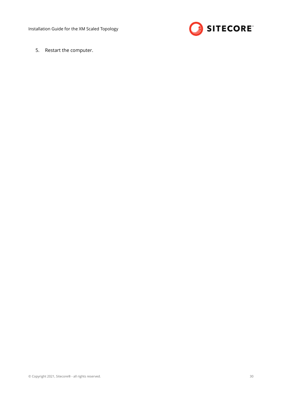Installation Guide for the XM Scaled Topology



5. Restart the computer.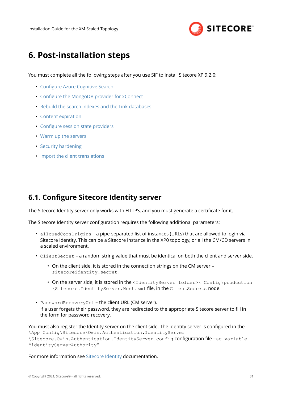

# <span id="page-30-0"></span>**6. Post-installation steps**

You must complete all the following steps after you use SIF to install Sitecore XP 9.2.0:

- Configure Azure Cognitive Search
- Configure the MongoDB provider for xConnect
- [Rebuild the search indexes and the Link databases](#page-32-0)
- [Content expiration](#page-32-0)
- Configure session state providers
- [Warm up the servers](#page-33-0)
- [Security hardening](#page-33-0)
- [Import the client translations](#page-33-0)

## **6.1. Configure Sitecore Identity server**

The Sitecore Identity server only works with HTTPS, and you must generate a certificate for it.

The Sitecore Identity server configuration requires the following additional parameters:

- allowedCorsOrigins a pipe-separated list of instances (URLs) that are allowed to login via Sitecore Identity. This can be a Sitecore instance in the XP0 topology, or all the CM/CD servers in a scaled environment.
- ClientSecret a random string value that must be identical on both the client and server side.
	- On the client side, it is stored in the connection strings on the CM server sitecoreidentity.secret.
	- On the server side, it is stored in the <IdentityServer folder>\ Config\production \Sitecore.IdentityServer.Host.xml file, in the ClientSecrets node.
- PasswordRecoveryUrl the client URL (CM server). If a user forgets their password, they are redirected to the appropriate Sitecore server to fill in the form for password recovery.

You must also register the Identity server on the client side. The Identity server is configured in the \App\_Config\Sitecore\Owin.Authentication.IdentityServer \Sitecore.Owin.Authentication.IdentityServer.config configuration file -sc.variable "identityServerAuthority".

For more information see [Sitecore Identity](https://doc.sitecore.com/developers/92/sitecore-experience-management/en/sitecore-identity.html) documentation.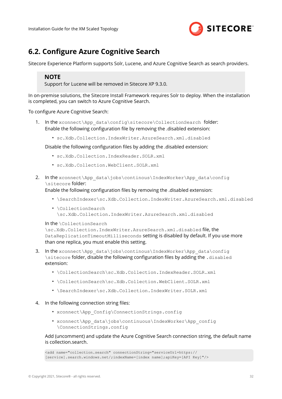

## <span id="page-31-0"></span>**6.2. Configure Azure Cognitive Search**

Sitecore Experience Platform supports Solr, Lucene, and Azure Cognitive Search as search providers.

## **NOTE**

Support for Lucene will be removed in Sitecore XP 9.3.0.

In on-premise solutions, the Sitecore Install Framework requires Solr to deploy. When the installation is completed, you can switch to Azure Cognitive Search.

To configure Azure Cognitive Search:

- 1. In the xconnect\App\_data\config\sitecore\CollectionSearch folder: Enable the following configuration file by removing the .disabled extension:
	- sc.Xdb.Collection.IndexWriter.AzureSearch.xml.disabled

Disable the following configuration files by adding the .disabled extension:

- sc.Xdb.Collection.IndexReader.SOLR.xml
- sc.Xdb.Collection.WebClient.SOLR.xml
- 2. In the xconnect\App\_data\jobs\continous\IndexWorker\App\_data\config \sitecore folder:

Enable the following configuration files by removing the .disabled extension:

- \SearchIndexer\sc.Xdb.Collection.IndexWriter.AzureSearch.xml.disabled
- \CollectionSearch \sc.Xdb.Collection.IndexWriter.AzureSearch.xml.disabled

In the \CollectionSearch

\sc.Xdb.Collection.IndexWriter.AzureSearch.xml.disabled file, the DataReplicationTimeoutMilliseconds setting is disabled by default. If you use more than one replica, you must enable this setting.

- 3. In the xconnect\App\_data\jobs\continous\IndexWorker\App\_data\config \sitecore folder, disable the following configuration files by adding the .disabled extension:
	- \CollectionSearch\sc.Xdb.Collection.IndexReader.SOLR.xml
	- \CollectionSearch\sc.Xdb.Collection.WebClient.SOLR.xml
	- \SearchIndexer\sc.Xdb.Collection.IndexWriter.SOLR.xml

#### 4. In the following connection string files:

- xconnect\App\_Config\ConnectionStrings.config
- xconnect\App\_data\jobs\continuous\IndexWorker\App\_config \ConnectionStrings.config

#### Add (uncomment) and update the Azure Cognitive Search connection string, the default name is collection.search.

<add name="collection.search" connectionString="serviceUrl=https:// [service].search.windows.net/;indexName=[index name];apiKey=[API Key]"/>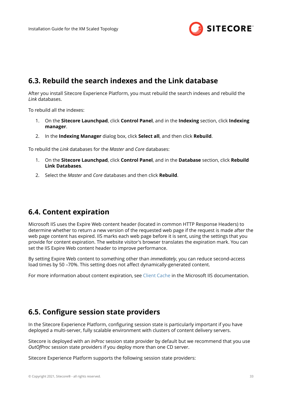

## <span id="page-32-0"></span>**6.3. Rebuild the search indexes and the Link database**

After you install Sitecore Experience Platform, you must rebuild the search indexes and rebuild the *Link* databases.

To rebuild all the indexes:

- 1. On the **Sitecore Launchpad**, click **Control Panel**, and in the **Indexing** section, click **Indexing manager**.
- 2. In the **Indexing Manager** dialog box, click **Select all**, and then click **Rebuild**.

To rebuild the *Link* databases for the *Master* and *Core* databases:

- 1. On the **Sitecore Launchpad**, click **Control Panel**, and in the **Database** section, click **Rebuild Link Databases**.
- 2. Select the *Master* and *Core* databases and then click **Rebuild**.

## **6.4. Content expiration**

Microsoft IIS uses the Expire Web content header (located in common HTTP Response Headers) to determine whether to return a new version of the requested web page if the request is made after the web page content has expired. IIS marks each web page before it is sent, using the settings that you provide for content expiration. The website visitor's browser translates the expiration mark. You can set the IIS Expire Web content header to improve performance.

By setting Expire Web content to something other than *immediately*, you can reduce second-access load times by 50 –70%. This setting does not affect dynamically-generated content.

For more information about content expiration, see [Client Cache](https://docs.microsoft.com/en-us/iis/configuration/system.webserver/staticcontent/clientcache) in the Microsoft IIS documentation.

## **6.5. Configure session state providers**

In the Sitecore Experience Platform, configuring session state is particularly important if you have deployed a multi-server, fully scalable environment with clusters of content delivery servers.

Sitecore is deployed with an *InProc* session state provider by default but we recommend that you use *OutOfProc* session state providers if you deploy more than one CD server.

Sitecore Experience Platform supports the following session state providers: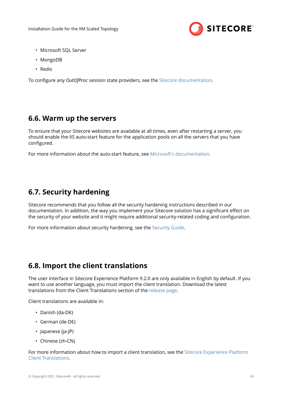

- <span id="page-33-0"></span>• Microsoft SQL Server
- MongoDB
- Redis

To configure any *OutOfProc* session state providers, see the [Sitecore documentation.](https://doc.sitecore.com/developers/92/platform-administration-and-architecture/en/session-state.html)

## **6.6. Warm up the servers**

To ensure that your Sitecore websites are available at all times, even after restarting a server, you should enable the IIS auto-start feature for the application pools on all the servers that you have configured.

For more information about the auto-start feature, see [Microsoft's documentation.](https://msdn.microsoft.com/en-us/library/ee677260(v=azure.10).aspx)

## **6.7. Security hardening**

Sitecore recommends that you follow all the security hardening instructions described in our documentation. In addition, the way you implement your Sitecore solution has a significant effect on the security of your website and it might require additional security-related coding and configuration.

For more information about security hardening, see the [Security Guide.](https://doc.sitecore.com/developers/92/platform-administration-and-architecture/en/security-guide-331421.html)

## **6.8. Import the client translations**

The user interface in Sitecore Experience Platform 9.2.0 are only available in English by default. If you want to use another language, you must import the client translation. Download the latest translations from the Client Translations section of the [release page.](https://dev.sitecore.net/Downloads/Sitecore_Experience_Platform/92/Sitecore_Experience_Platform_92_Initial_Release.aspx)

Client translations are available in:

- Danish (da-DK)
- German (de-DE)
- Japanese (ja-JP)
- Chinese (zh-CN)

For more information about how to import a client translation, see the [Sitecore Experience Platform](https://dev.sitecore.net/Downloads/Sitecore_Experience_Platform/91/~/link.aspx?_id=D72CBF8CE581436CBBCAEE896C8646F7&_z=z) [Client Translations.](https://dev.sitecore.net/Downloads/Sitecore_Experience_Platform/91/~/link.aspx?_id=D72CBF8CE581436CBBCAEE896C8646F7&_z=z)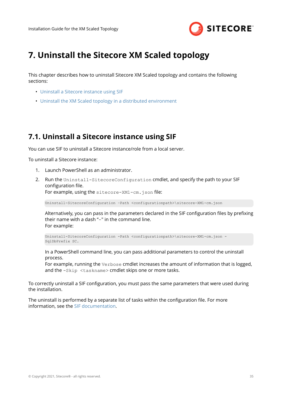

# <span id="page-34-0"></span>**7. Uninstall the Sitecore XM Scaled topology**

This chapter describes how to uninstall Sitecore XM Scaled topology and contains the following sections:

- Uninstall a Sitecore instance using SIF
- [Uninstall the XM Scaled topology in a distributed environment](#page-35-0)

## **7.1. Uninstall a Sitecore instance using SIF**

You can use SIF to uninstall a Sitecore instance/role from a local server.

To uninstall a Sitecore instance:

- 1. Launch PowerShell as an administrator.
- 2. Run the Uninstall-SitecoreConfiguration cmdlet, and specify the path to your SIF configuration file. For example, using the sitecore-XM1-cm.json file:

Uninstall-SitecoreConfiguration –Path <configurationpath>\sitecore-XM1-cm.json

Alternatively, you can pass in the parameters declared in the SIF configuration files by prefixing their name with a dash "-" in the command line. For example:

Uninstall-SitecoreConfiguration -Path <configurationpath>\sitecore-XM1-cm.json - SqlDbPrefix SC.

In a PowerShell command line, you can pass additional parameters to control the uninstall process.

For example, running the Verbose cmdlet increases the amount of information that is logged, and the -Skip <taskname> cmdlet skips one or more tasks.

To correctly uninstall a SIF configuration, you must pass the same parameters that were used during the installation.

The uninstall is performed by a separate list of tasks within the configuration file. For more information, see the [SIF documentation](https://dev.sitecore.net/Downloads/Sitecore_Installation_Framework.aspx).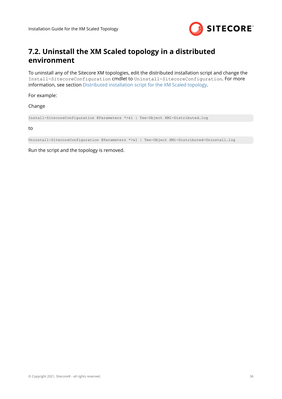

## <span id="page-35-0"></span>**7.2. Uninstall the XM Scaled topology in a distributed environment**

To uninstall any of the Sitecore XM topologies, edit the distributed installation script and change the Install-SitecoreConfiguration cmdlet to Uninstall-SitecoreConfiguration. For more information, see section [Distributed installation script for the XM Scaled topology](#page-26-0).

For example:

Change

```
Install-SitecoreConfiguration @Parameters *>&1 | Tee-Object XM1-Distributed.log
```
to

```
Uninstall-SitecoreConfiguration @Parameters *>&1 | Tee-Object XM1-Distributed-Uninstall.log
```
Run the script and the topology is removed.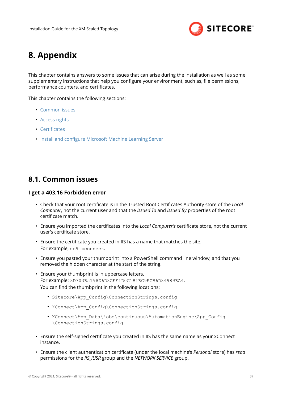

# <span id="page-36-0"></span>**8. Appendix**

This chapter contains answers to some issues that can arise during the installation as well as some supplementary instructions that help you configure your environment, such as, file permissions, performance counters, and certificates.

This chapter contains the following sections:

- Common issues
- [Access rights](#page-38-0)
- Certificates
- Install and configure Microsoft Machine Learning Server

## **8.1. Common issues**

#### **I get a 403.16 Forbidden error**

- Check that your root certificate is in the Trusted Root Certificates Authority store of the *Local Computer*, not the current user and that the *Issued To* and *Issued By* properties of the root certificate match.
- Ensure you imported the certificates into the *Local Computer's* certificate store, not the current user's certificate store.
- Ensure the certificate you created in IIS has a name that matches the site. For example, sc9 xconnect.
- Ensure you pasted your thumbprint into a PowerShell command line window, and that you removed the hidden character at the start of the string.
- Ensure your thumbprint is in uppercase letters. For example: 3D703B5198D6D3CEE1D0C1B1BC9ECB6D34989BA4. You can find the thumbprint in the following locations:
	- Sitecore\App\_Config\ConnectionStrings.config
	- XConnect\App\_Config\ConnectionStrings.config
	- XConnect\App\_Data\jobs\continuous\AutomationEngine\App\_Config \ConnectionStrings.config
- Ensure the self-signed certificate you created in IIS has the same name as your xConnect instance.
- Ensure the client authentication certificate (under the local machine's *Personal* store) has *read* permissions for the *IIS\_IUSR* group and the *NETWORK SERVICE* group.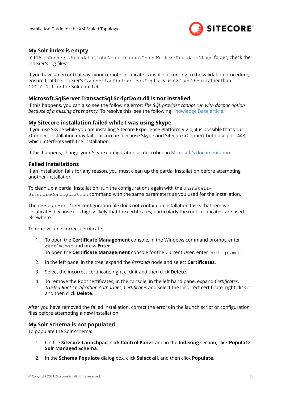

### **My Solr index is empty**

In the \xConnect\App\_data\jobs\continuous\IndexWorker\App\_data\Logs folder, check the indexer's log files:

If you have an error that says your remote certificate is invalid according to the validation procedure, ensure that the indexer's ConnectionStrings.config file is using localhost rather than 127.0.0.1 for the Solr core URL.

#### **Microsoft.SqlServer.TransactSql.ScriptDom.dll is not installed**

If this happens, you can also see the following error: *The SQL provider cannot run with dacpac option because of a missing dependency.* To resolve this, see the following [Knowledge Base article.](https://kb.sitecore.net/articles/019579)

#### **My Sitecore installation failed while I was using Skype**

If you use Skype while you are installing Sitecore Experience Platform 9.2.0, it is possible that your xConnect installation may fail. This occurs because Skype and Sitecore xConnect both use port 443, which interferes with the installation.

If this happens, change your Skype configuration as described in [Microsoft's documentation.](https://answers.microsoft.com/en-us/windows/forum/windows_7-winapps/unable-to-remove-port-443-from-skype/4e224910-761a-4de5-a6d8-ae4150656d68?auth=1)

#### **Failed installations**

If an installation fails for any reason, you must clean up the partial installation before attempting another installation.

To clean up a partial installation, run the configurations again with the Uninstall-SitecoreConfiguration command with the same parameters as you used for the installation.

The createcert.  $j$ son configuration file does not contain uninstallation tasks that remove certificates because it is highly likely that the certificates, particularly the root certificates, are used elsewhere.

To remove an incorrect certificate:

1. To open the **Certificate Management** console, in the Windows command prompt, enter certlm.msc and press **Enter**.

To open the **Certificate Management** console for the Current User, enter certmgr.msc.

- 2. In the left pane, in the tree, expand the *Personal* node and select **Certificates.**
- 3. Select the incorrect certificate, right click it and then click Delete.
- 4. To remove the Root certificates, in the console, in the left hand pane, expand *Certificates*, *Trusted Root Certification Authorities, Certificates and select the incorrect certificate, right click it* and then click **Delete**.

After you have removed the failed installation, correct the errors in the launch script or configuration files before attempting a new installation.

#### **My Solr Schema is not populated**

To populate the Solr schema:

- 1. On the **Sitecore Launchpad**, click **Control Panel**, and in the **Indexing** section, click **Populate Solr Managed Schema**.
- 2. In the **Schema Populate** dialog box, click **Select all**, and then click **Populate**.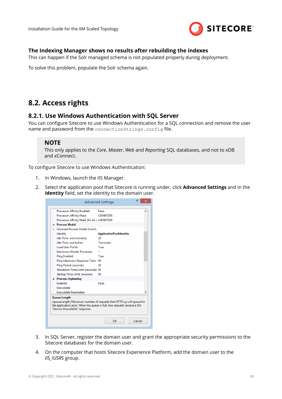

### <span id="page-38-0"></span>**The Indexing Manager shows no results after rebuilding the indexes**

This can happen if the Solr managed schema is not populated properly during deployment.

To solve this problem, populate the Solr schema again.

## **8.2. Access rights**

### **8.2.1. Use Windows Authentication with SQL Server**

You can configure Sitecore to use Windows Authentication for a SOL connection and remove the user name and password from the connectionStrings.config file.

#### **NOTE**

This only applies to the *Core*, *Master*, *Web* and *Reporting* SQL databases, and not to xDB and xConnect.

To configure Sitecore to use Windows Authentication:

- 1. In Windows, launch the IIS Manager.
- 2. Select the application pool that Sitecore is running under, click **Advanced Settings** and in the **Identity** field, set the identity to the domain user.

|  | <b>Processor Affinity Enabled</b>                      | False                                                                                                                                             |  |  |  |  |
|--|--------------------------------------------------------|---------------------------------------------------------------------------------------------------------------------------------------------------|--|--|--|--|
|  | <b>Processor Affinity Mask</b>                         | 4294967295                                                                                                                                        |  |  |  |  |
|  | Processor Affinity Mask (64-bit c 4294967295           |                                                                                                                                                   |  |  |  |  |
|  | <b>Process Model</b>                                   |                                                                                                                                                   |  |  |  |  |
|  | <b>Exercise Process Model Event Li</b>                 |                                                                                                                                                   |  |  |  |  |
|  | Identity                                               | <b>ApplicationPoolIdentity</b>                                                                                                                    |  |  |  |  |
|  | Idle Time-out (minutes)                                | 20                                                                                                                                                |  |  |  |  |
|  | <b>Idle Time-out Action</b>                            | Terminate                                                                                                                                         |  |  |  |  |
|  | <b>Load User Profile</b>                               | True                                                                                                                                              |  |  |  |  |
|  | Maximum Worker Processes                               | 1                                                                                                                                                 |  |  |  |  |
|  | <b>Ping Enabled</b>                                    | True                                                                                                                                              |  |  |  |  |
|  | Ping Maximum Response Time   90                        |                                                                                                                                                   |  |  |  |  |
|  | <b>Ping Period (seconds)</b>                           | 30                                                                                                                                                |  |  |  |  |
|  | Shutdown Time Limit (seconds)                          | 90                                                                                                                                                |  |  |  |  |
|  | Startup Time Limit (seconds)                           | 90.                                                                                                                                               |  |  |  |  |
|  | ▲ Process Orphaning                                    |                                                                                                                                                   |  |  |  |  |
|  | <b>Fnabled</b>                                         | False                                                                                                                                             |  |  |  |  |
|  | Executable                                             |                                                                                                                                                   |  |  |  |  |
|  | <b>Executable Parameters</b>                           |                                                                                                                                                   |  |  |  |  |
|  | <b>Queue Length</b><br>"Service Unavailable" response. | [queueLength] Maximum number of requests that HTTP.sys will queue for<br>the application pool. When the queue is full, new requests receive a 503 |  |  |  |  |

- 3. In SQL Server, register the domain user and grant the appropriate security permissions to the Sitecore databases for the domain user.
- 4. On the computer that hosts Sitecore Experience Platform, add the domain user to the *IIS\_IUSRS* group.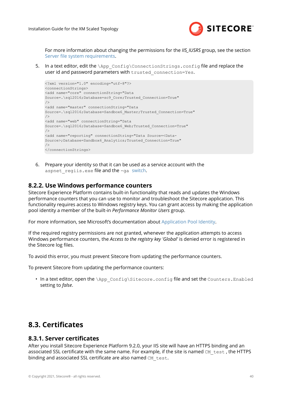

<span id="page-39-0"></span>For more information about changing the permissions for the *IIS\_IUSRS* group, see the section Server file system requirements.

5. In a text editor, edit the  $\Delta_{\text{app}}$  config\ConnectionStrings.config file and replace the user id and password parameters with trusted connection=Yes.

```
<?xml version="1.0" encoding="utf-8"?>
<connectionStrings>
<add name="core" connectionString="Data 
Source=.\sql2016;Database=sc9_Core;Trusted_Connection=True"
/<add name="master" connectionString="Data 
Source=.\sql2016;Database=Sandbox6_Master;Trusted_Connection=True"
/>
<add name="web" connectionString="Data 
Source=.\sql2016;Database=Sandbox6_Web;Trusted_Connection=True"
/>
<add name="reporting" connectionString="Data Source=<Data-
Source>;Database=Sandbox6_Analytics;Trusted_Connection=True"
/</connectionStrings>
```
6. Prepare your identity so that it can be used as a service account with the aspnet regiis.exe file and the -ga [switch](http://msdn.microsoft.com/en-us/library/ms998297.aspx).

### **8.2.2. Use Windows performance counters**

Sitecore Experience Platform contains built-in functionality that reads and updates the Windows performance counters that you can use to monitor and troubleshoot the Sitecore application. This functionality requires access to Windows registry keys. You can grant access by making the application pool identity a member of the built-in *Performance Monitor Users* group.

For more information, see Microsoft's documentation about [Application Pool Identity.](https://docs.microsoft.com/en-us/iis/manage/configuring-security/application-pool-identities)

If the required registry permissions are not granted, whenever the application attempts to access Windows performance counters, the *Access to the registry key 'Global'* is denied error is registered in the Sitecore log files.

To avoid this error, you must prevent Sitecore from updating the performance counters.

To prevent Sitecore from updating the performance counters:

• In a text editor, open the \App\_Config\Sitecore.config file and set the Counters.Enabled setting to *false*.

## 8.3. Certificates

### **8.3.1. Server certificates**

After you install Sitecore Experience Platform 9.2.0, your IIS site will have an HTTPS binding and an associated SSL certificate with the same name. For example, if the site is named CM test, the HTTPS binding and associated SSL certificate are also named CM test.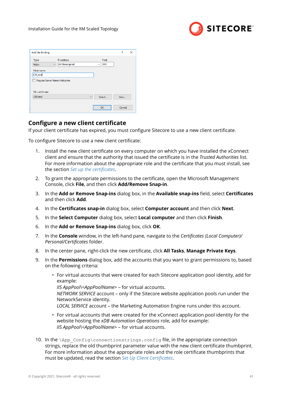

| <b>Add Site Binding</b>        |              |                                      |              |                              | ?    | $\times$ |
|--------------------------------|--------------|--------------------------------------|--------------|------------------------------|------|----------|
| Type:<br>https                 | $\checkmark$ | IP address:<br><b>All Unassigned</b> |              | Port:<br>443<br>$\checkmark$ |      |          |
| Host name:                     |              |                                      |              |                              |      |          |
| CM_test                        |              |                                      |              |                              |      |          |
|                                |              |                                      |              |                              |      |          |
| Require Server Name Indication |              |                                      |              |                              |      |          |
| SSL certificate:               |              |                                      |              |                              |      |          |
| CM_test                        |              |                                      | $\checkmark$ | Select                       | View |          |

## **Configure a new client certificate**

If your client certificate has expired, you must configure Sitecore to use a new client certificate.

To configure Sitecore to use a new client certificate:

- 1. Install the new client certificate on every computer on which you have installed the xConnect client and ensure that the authority that issued the certificate is in the *Trusted Authorities* list. For more information about the appropriate role and the certificate that you must install, see the section *Set up the certificates*.
- 2. To grant the appropriate permissions to the certificate, open the Microsoft Management Console, click **File**, and then click **Add/Remove Snap-in**.
- 3. In the **Add or Remove Snap-ins** dialog box, in the **Available snap-ins** field, select **Certificates** and then click **Add**.
- 4. In the **Certificates snap-in** dialog box, select **Computer account** and then click **Next**.
- 5. In the **Select Computer** dialog box, select **Local computer** and then click **Finish**.
- 6. In the **Add or Remove Snap-ins** dialog box, click **OK**.
- 7. In the **Console** window, in the left-hand pane, navigate to the *Certificates (Local Computer)/ Personal/Certificates* folder.
- 8. In the center pane, right-click the new certificate, click **All Tasks**, Manage Private Keys.
- 9. In the **Permissions** dialog box, add the accounts that you want to grant permissions to, based on the following criteria:
	- For virtual accounts that were created for each Sitecore application pool identity, add for example: *IIS AppPool\<AppPoolName>* – for virtual accounts. *NETWORK SERVICE* account – only if the Sitecore website application pools run under the NetworkService identity. *LOCAL SERVICE* account – the Marketing Automation Engine runs under this account.
	- For virtual accounts that were created for the xConnect application pool identity for the website hosting the *xDB Automation Operations* role, add for example: *IIS AppPool\<AppPoolName>* – for virtual accounts.
- 10. In the \App\_Config\connectionstrings.config file, in the appropriate connection strings, replace the old thumbprint parameter value with the new client certificate thumbprint. For more information about the appropriate roles and the role certificate thumbprints that must be updated, read the section *Set Up Client Certificates*.